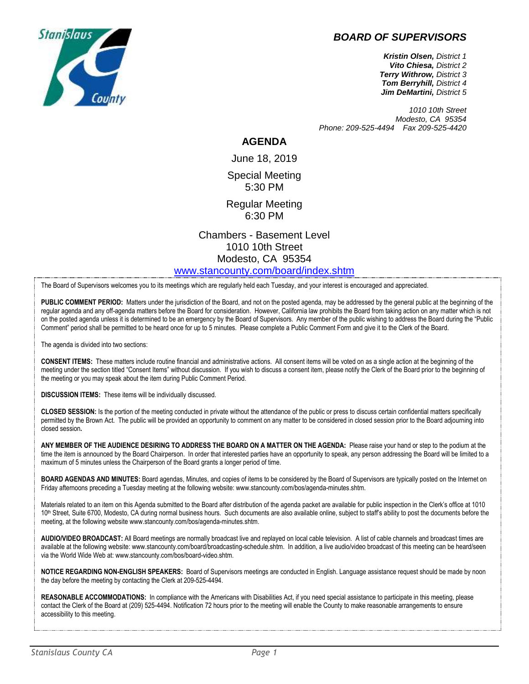

## *BOARD OF SUPERVISORS*

*Kristin Olsen, District 1 Vito Chiesa, District 2 Terry Withrow, District 3 Tom Berryhill, District 4 Jim DeMartini, District 5*

*1010 10th Street Modesto, CA 95354 Phone: 209-525-4494 Fax 209-525-4420*

#### **AGENDA**

June 18, 2019 Special Meeting

5:30 PM

Regular Meeting 6:30 PM

Chambers - Basement Level 1010 10th Street Modesto, CA 95354 [www.stancounty.com/board/index.shtm](http://www.stancounty.com/board/index.shtm)

The Board of Supervisors welcomes you to its meetings which are regularly held each Tuesday, and your interest is encouraged and appreciated.

**PUBLIC COMMENT PERIOD:** Matters under the jurisdiction of the Board, and not on the posted agenda, may be addressed by the general public at the beginning of the regular agenda and any off-agenda matters before the Board for consideration. However, California law prohibits the Board from taking action on any matter which is not on the posted agenda unless it is determined to be an emergency by the Board of Supervisors. Any member of the public wishing to address the Board during the "Public Comment" period shall be permitted to be heard once for up to 5 minutes. Please complete a Public Comment Form and give it to the Clerk of the Board.

The agenda is divided into two sections:

**CONSENT ITEMS:** These matters include routine financial and administrative actions. All consent items will be voted on as a single action at the beginning of the meeting under the section titled "Consent Items" without discussion. If you wish to discuss a consent item, please notify the Clerk of the Board prior to the beginning of the meeting or you may speak about the item during Public Comment Period.

**DISCUSSION ITEMS:** These items will be individually discussed.

**CLOSED SESSION:** Is the portion of the meeting conducted in private without the attendance of the public or press to discuss certain confidential matters specifically permitted by the Brown Act. The public will be provided an opportunity to comment on any matter to be considered in closed session prior to the Board adjourning into closed session**.**

**ANY MEMBER OF THE AUDIENCE DESIRING TO ADDRESS THE BOARD ON A MATTER ON THE AGENDA:** Please raise your hand or step to the podium at the time the item is announced by the Board Chairperson. In order that interested parties have an opportunity to speak, any person addressing the Board will be limited to a maximum of 5 minutes unless the Chairperson of the Board grants a longer period of time.

**BOARD AGENDAS AND MINUTES:** Board agendas, Minutes, and copies of items to be considered by the Board of Supervisors are typically posted on the Internet on Friday afternoons preceding a Tuesday meeting at the following website: www.stancounty.com/bos/agenda-minutes.shtm.

Materials related to an item on this Agenda submitted to the Board after distribution of the agenda packet are available for public inspection in the Clerk's office at 1010 10<sup>th</sup> Street, Suite 6700, Modesto, CA during normal business hours. Such documents are also available online, subject to staff's ability to post the documents before the meeting, at the following website www.stancounty.com/bos/agenda-minutes.shtm.

**AUDIO/VIDEO BROADCAST:** All Board meetings are normally broadcast live and replayed on local cable television. A list of cable channels and broadcast times are available at the following website: www.stancounty.com/board/broadcasting-schedule.shtm. In addition, a live audio/video broadcast of this meeting can be heard/seen via the World Wide Web at: www.stancounty.com/bos/board-video.shtm.

**NOTICE REGARDING NON-ENGLISH SPEAKERS:** Board of Supervisors meetings are conducted in English. Language assistance request should be made by noon the day before the meeting by contacting the Clerk at 209-525-4494.

REASONABLE ACCOMMODATIONS: In compliance with the Americans with Disabilities Act, if you need special assistance to participate in this meeting, please contact the Clerk of the Board at (209) 525-4494. Notification 72 hours prior to the meeting will enable the County to make reasonable arrangements to ensure accessibility to this meeting.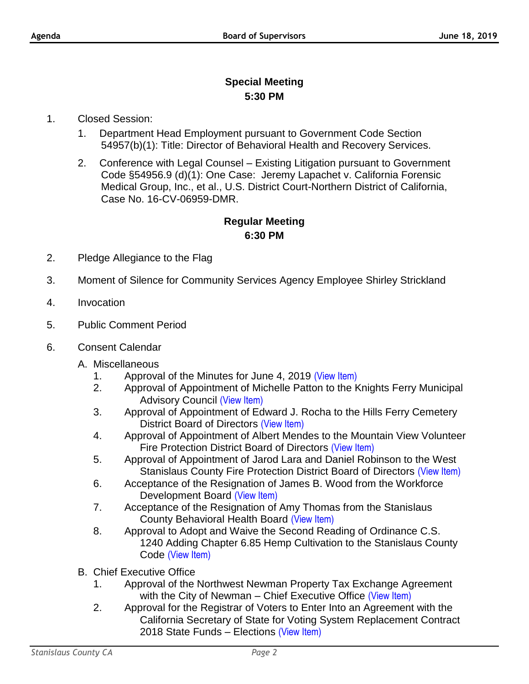# **Special Meeting 5:30 PM**

### 1. Closed Session:

- 1. Department Head Employment pursuant to Government Code Section 54957(b)(1): Title: Director of Behavioral Health and Recovery Services.
- 2. Conference with Legal Counsel Existing Litigation pursuant to Government Code §54956.9 (d)(1): One Case: Jeremy Lapachet v. California Forensic Medical Group, Inc., et al., U.S. District Court-Northern District of California, Case No. 16-CV-06959-DMR.

## **Regular Meeting 6:30 PM**

- 2. Pledge Allegiance to the Flag
- 3. Moment of Silence for Community Services Agency Employee Shirley Strickland
- 4. Invocation
- 5. Public Comment Period
- 6. Consent Calendar
	- A. Miscellaneous
		- 1. Approval of the Minutes for June 4, 2019 [\(View Item\)](http://stancounty.com/bos/minutes/2019/min06-04-19.pdf)
		- 2. Approval of Appointment of Michelle Patton to the Knights Ferry Municipal Advisory Council [\(View Item\)](http://stancounty.com/bos/agenda/2019/20190618/A02.pdf)
		- 3. Approval of Appointment of Edward J. Rocha to the Hills Ferry Cemetery District Board of Directors [\(View Item\)](http://stancounty.com/bos/agenda/2019/20190618/A03.pdf)
		- 4. Approval of Appointment of Albert Mendes to the Mountain View Volunteer Fire Protection District Board of Directors [\(View Item\)](http://stancounty.com/bos/agenda/2019/20190618/A04.pdf)
		- 5. Approval of Appointment of Jarod Lara and Daniel Robinson to the West Stanislaus County Fire Protection District Board of Directors [\(View Item\)](http://stancounty.com/bos/agenda/2019/20190618/A05.pdf)
		- 6. Acceptance of the Resignation of James B. Wood from the Workforce Development Board [\(View Item\)](http://stancounty.com/bos/agenda/2019/20190618/A06.pdf)
		- 7. Acceptance of the Resignation of Amy Thomas from the Stanislaus County Behavioral Health Board [\(View Item\)](http://stancounty.com/bos/agenda/2019/20190618/A07.pdf)
		- 8. Approval to Adopt and Waive the Second Reading of Ordinance C.S. 1240 Adding Chapter 6.85 Hemp Cultivation to the Stanislaus County Code [\(View Item\)](http://stancounty.com/bos/agenda/2019/20190618/A08.pdf)
	- B. Chief Executive Office
		- 1. Approval of the Northwest Newman Property Tax Exchange Agreement with the City of Newman – Chief Executive Office [\(View Item\)](http://stancounty.com/bos/agenda/2019/20190618/B01.pdf)
		- 2. Approval for the Registrar of Voters to Enter Into an Agreement with the California Secretary of State for Voting System Replacement Contract 2018 State Funds – Elections [\(View Item\)](http://stancounty.com/bos/agenda/2019/20190618/B02.pdf)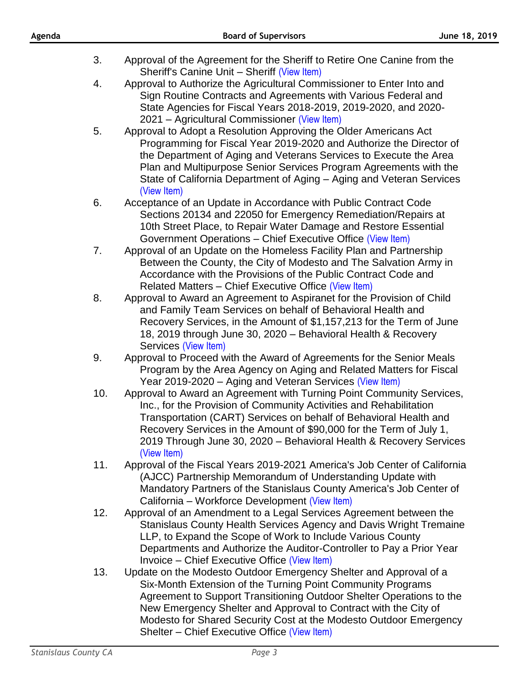- 3. Approval of the Agreement for the Sheriff to Retire One Canine from the Sheriff's Canine Unit – Sheriff [\(View Item\)](http://stancounty.com/bos/agenda/2019/20190618/B03.pdf)
- 4. Approval to Authorize the Agricultural Commissioner to Enter Into and Sign Routine Contracts and Agreements with Various Federal and State Agencies for Fiscal Years 2018-2019, 2019-2020, and 2020- 2021 – Agricultural Commissioner [\(View Item\)](http://stancounty.com/bos/agenda/2019/20190618/B04.pdf)
- 5. Approval to Adopt a Resolution Approving the Older Americans Act Programming for Fiscal Year 2019-2020 and Authorize the Director of the Department of Aging and Veterans Services to Execute the Area Plan and Multipurpose Senior Services Program Agreements with the State of California Department of Aging – Aging and Veteran Services [\(View Item\)](http://stancounty.com/bos/agenda/2019/20190618/B05.pdf)
- 6. Acceptance of an Update in Accordance with Public Contract Code Sections 20134 and 22050 for Emergency Remediation/Repairs at 10th Street Place, to Repair Water Damage and Restore Essential Government Operations – Chief Executive Office [\(View Item\)](http://stancounty.com/bos/agenda/2019/20190618/B06.pdf)
- 7. Approval of an Update on the Homeless Facility Plan and Partnership Between the County, the City of Modesto and The Salvation Army in Accordance with the Provisions of the Public Contract Code and Related Matters – Chief Executive Office [\(View Item\)](http://stancounty.com/bos/agenda/2019/20190618/B07.pdf)
- 8. Approval to Award an Agreement to Aspiranet for the Provision of Child and Family Team Services on behalf of Behavioral Health and Recovery Services, in the Amount of \$1,157,213 for the Term of June 18, 2019 through June 30, 2020 – Behavioral Health & Recovery Services [\(View Item\)](http://stancounty.com/bos/agenda/2019/20190618/B08.pdf)
- 9. Approval to Proceed with the Award of Agreements for the Senior Meals Program by the Area Agency on Aging and Related Matters for Fiscal Year 2019-2020 – Aging and Veteran Services [\(View Item\)](http://stancounty.com/bos/agenda/2019/20190618/B09.pdf)
- 10. Approval to Award an Agreement with Turning Point Community Services, Inc., for the Provision of Community Activities and Rehabilitation Transportation (CART) Services on behalf of Behavioral Health and Recovery Services in the Amount of \$90,000 for the Term of July 1, 2019 Through June 30, 2020 – Behavioral Health & Recovery Services [\(View Item\)](http://stancounty.com/bos/agenda/2019/20190618/B10.pdf)
- 11. Approval of the Fiscal Years 2019-2021 America's Job Center of California (AJCC) Partnership Memorandum of Understanding Update with Mandatory Partners of the Stanislaus County America's Job Center of California – Workforce Development [\(View Item\)](http://stancounty.com/bos/agenda/2019/20190618/B11.pdf)
- 12. Approval of an Amendment to a Legal Services Agreement between the Stanislaus County Health Services Agency and Davis Wright Tremaine LLP, to Expand the Scope of Work to Include Various County Departments and Authorize the Auditor-Controller to Pay a Prior Year Invoice – Chief Executive Office [\(View Item\)](http://stancounty.com/bos/agenda/2019/20190618/B12.pdf)
- 13. Update on the Modesto Outdoor Emergency Shelter and Approval of a Six-Month Extension of the Turning Point Community Programs Agreement to Support Transitioning Outdoor Shelter Operations to the New Emergency Shelter and Approval to Contract with the City of Modesto for Shared Security Cost at the Modesto Outdoor Emergency Shelter – Chief Executive Office [\(View Item\)](http://stancounty.com/bos/agenda/2019/20190618/B13.pdf)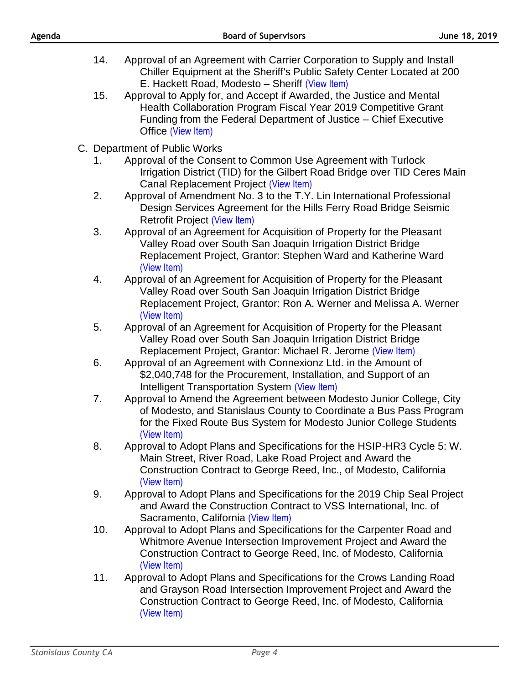- 14. Approval of an Agreement with Carrier Corporation to Supply and Install Chiller Equipment at the Sheriff's Public Safety Center Located at 200 E. Hackett Road, Modesto – Sheriff [\(View Item\)](http://stancounty.com/bos/agenda/2019/20190618/B14.pdf)
- 15. Approval to Apply for, and Accept if Awarded, the Justice and Mental Health Collaboration Program Fiscal Year 2019 Competitive Grant Funding from the Federal Department of Justice – Chief Executive Office [\(View Item\)](http://stancounty.com/bos/agenda/2019/20190618/B15.pdf)
- C. Department of Public Works
	- 1. Approval of the Consent to Common Use Agreement with Turlock Irrigation District (TID) for the Gilbert Road Bridge over TID Ceres Main Canal Replacement Project [\(View Item\)](http://stancounty.com/bos/agenda/2019/20190618/C01.pdf)
	- 2. Approval of Amendment No. 3 to the T.Y. Lin International Professional Design Services Agreement for the Hills Ferry Road Bridge Seismic Retrofit Project [\(View Item\)](http://stancounty.com/bos/agenda/2019/20190618/C02.pdf)
	- 3. Approval of an Agreement for Acquisition of Property for the Pleasant Valley Road over South San Joaquin Irrigation District Bridge Replacement Project, Grantor: Stephen Ward and Katherine Ward [\(View Item\)](http://stancounty.com/bos/agenda/2019/20190618/C03.pdf)
	- 4. Approval of an Agreement for Acquisition of Property for the Pleasant Valley Road over South San Joaquin Irrigation District Bridge Replacement Project, Grantor: Ron A. Werner and Melissa A. Werner [\(View Item\)](http://stancounty.com/bos/agenda/2019/20190618/C04.pdf)
	- 5. Approval of an Agreement for Acquisition of Property for the Pleasant Valley Road over South San Joaquin Irrigation District Bridge Replacement Project, Grantor: Michael R. Jerome [\(View Item\)](http://stancounty.com/bos/agenda/2019/20190618/C05.pdf)
	- 6. Approval of an Agreement with Connexionz Ltd. in the Amount of \$2,040,748 for the Procurement, Installation, and Support of an Intelligent Transportation System [\(View Item\)](http://stancounty.com/bos/agenda/2019/20190618/C06.pdf)
	- 7. Approval to Amend the Agreement between Modesto Junior College, City of Modesto, and Stanislaus County to Coordinate a Bus Pass Program for the Fixed Route Bus System for Modesto Junior College Students [\(View Item\)](http://stancounty.com/bos/agenda/2019/20190618/C07.pdf)
	- 8. Approval to Adopt Plans and Specifications for the HSIP-HR3 Cycle 5: W. Main Street, River Road, Lake Road Project and Award the Construction Contract to George Reed, Inc., of Modesto, California [\(View Item\)](http://stancounty.com/bos/agenda/2019/20190618/C08.pdf)
	- 9. Approval to Adopt Plans and Specifications for the 2019 Chip Seal Project and Award the Construction Contract to VSS International, Inc. of Sacramento, California [\(View Item\)](http://stancounty.com/bos/agenda/2019/20190618/C09.pdf)
	- 10. Approval to Adopt Plans and Specifications for the Carpenter Road and Whitmore Avenue Intersection Improvement Project and Award the Construction Contract to George Reed, Inc. of Modesto, California [\(View Item\)](http://stancounty.com/bos/agenda/2019/20190618/C10.pdf)
	- 11. Approval to Adopt Plans and Specifications for the Crows Landing Road and Grayson Road Intersection Improvement Project and Award the Construction Contract to George Reed, Inc. of Modesto, California [\(View Item\)](http://stancounty.com/bos/agenda/2019/20190618/C11.pdf)